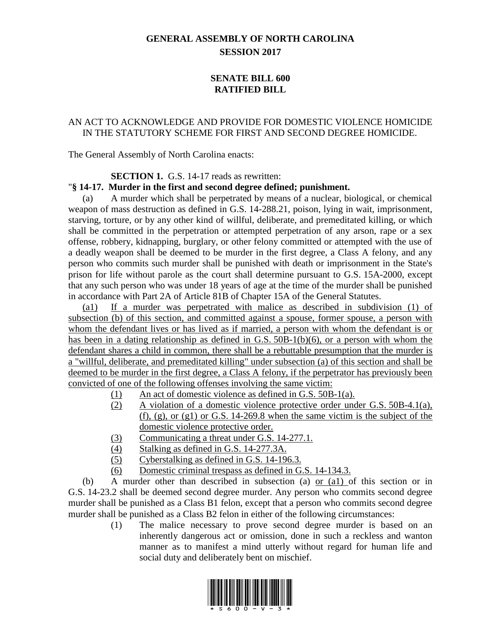# **GENERAL ASSEMBLY OF NORTH CAROLINA SESSION 2017**

## **SENATE BILL 600 RATIFIED BILL**

## AN ACT TO ACKNOWLEDGE AND PROVIDE FOR DOMESTIC VIOLENCE HOMICIDE IN THE STATUTORY SCHEME FOR FIRST AND SECOND DEGREE HOMICIDE.

The General Assembly of North Carolina enacts:

#### **SECTION 1.** G.S. 14-17 reads as rewritten:

#### "**§ 14-17. Murder in the first and second degree defined; punishment.**

(a) A murder which shall be perpetrated by means of a nuclear, biological, or chemical weapon of mass destruction as defined in G.S. 14-288.21, poison, lying in wait, imprisonment, starving, torture, or by any other kind of willful, deliberate, and premeditated killing, or which shall be committed in the perpetration or attempted perpetration of any arson, rape or a sex offense, robbery, kidnapping, burglary, or other felony committed or attempted with the use of a deadly weapon shall be deemed to be murder in the first degree, a Class A felony, and any person who commits such murder shall be punished with death or imprisonment in the State's prison for life without parole as the court shall determine pursuant to G.S. 15A-2000, except that any such person who was under 18 years of age at the time of the murder shall be punished in accordance with Part 2A of Article 81B of Chapter 15A of the General Statutes.

(a1) If a murder was perpetrated with malice as described in subdivision (1) of subsection (b) of this section, and committed against a spouse, former spouse, a person with whom the defendant lives or has lived as if married, a person with whom the defendant is or has been in a dating relationship as defined in G.S. 50B-1(b)(6), or a person with whom the defendant shares a child in common, there shall be a rebuttable presumption that the murder is a "willful, deliberate, and premeditated killing" under subsection (a) of this section and shall be deemed to be murder in the first degree, a Class A felony, if the perpetrator has previously been convicted of one of the following offenses involving the same victim:

- (1) An act of domestic violence as defined in G.S. 50B-1(a).
- (2) A violation of a domestic violence protective order under G.S. 50B-4.1(a), (f), (g), or (g1) or G.S. 14-269.8 when the same victim is the subject of the domestic violence protective order.
- (3) Communicating a threat under G.S. 14-277.1.
- (4) Stalking as defined in G.S. 14-277.3A.
- (5) Cyberstalking as defined in G.S. 14-196.3.
- (6) Domestic criminal trespass as defined in G.S. 14-134.3.

(b) A murder other than described in subsection (a) or (a1) of this section or in G.S. 14-23.2 shall be deemed second degree murder. Any person who commits second degree murder shall be punished as a Class B1 felon, except that a person who commits second degree murder shall be punished as a Class B2 felon in either of the following circumstances:

> (1) The malice necessary to prove second degree murder is based on an inherently dangerous act or omission, done in such a reckless and wanton manner as to manifest a mind utterly without regard for human life and social duty and deliberately bent on mischief.